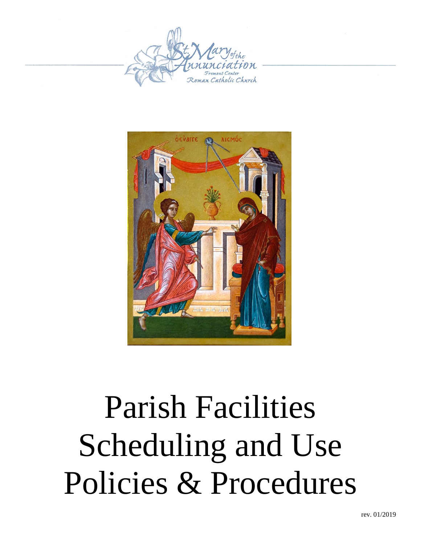



# Parish Facilities Scheduling and Use Policies & Procedures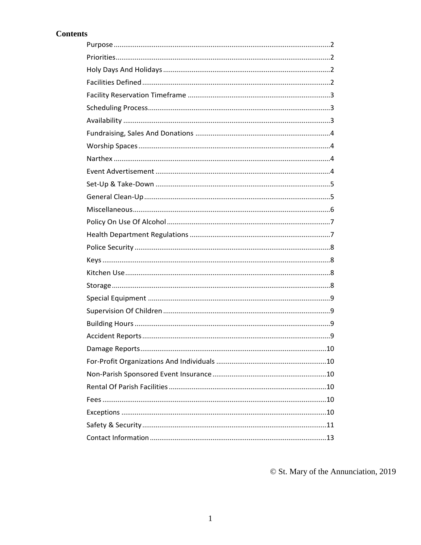#### **Contents**

© St. Mary of the Annunciation, 2019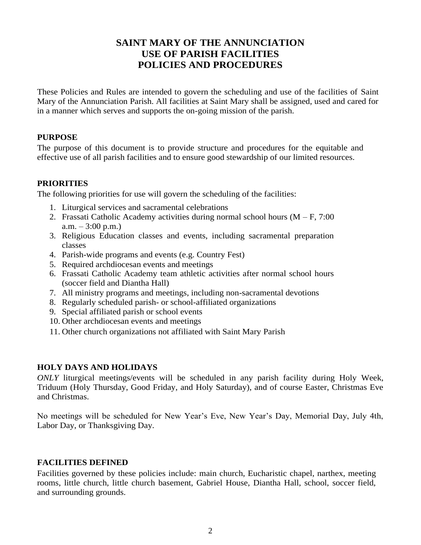#### **SAINT MARY OF THE ANNUNCIATION USE OF PARISH FACILITIES POLICIES AND PROCEDURES**

These Policies and Rules are intended to govern the scheduling and use of the facilities of Saint Mary of the Annunciation Parish. All facilities at Saint Mary shall be assigned, used and cared for in a manner which serves and supports the on-going mission of the parish.

#### <span id="page-2-0"></span>**PURPOSE**

The purpose of this document is to provide structure and procedures for the equitable and effective use of all parish facilities and to ensure good stewardship of our limited resources.

#### <span id="page-2-1"></span>**PRIORITIES**

The following priorities for use will govern the scheduling of the facilities:

- 1. Liturgical services and sacramental celebrations
- 2. Frassati Catholic Academy activities during normal school hours  $(M F, 7:00)$  $a.m. - 3:00 p.m.$
- 3. Religious Education classes and events, including sacramental preparation classes
- 4. Parish-wide programs and events (e.g. Country Fest)
- 5. Required archdiocesan events and meetings
- 6. Frassati Catholic Academy team athletic activities after normal school hours (soccer field and Diantha Hall)
- 7. All ministry programs and meetings, including non-sacramental devotions
- 8. Regularly scheduled parish- or school-affiliated organizations
- 9. Special affiliated parish or school events
- 10. Other archdiocesan events and meetings
- 11. Other church organizations not affiliated with Saint Mary Parish

#### <span id="page-2-2"></span>**HOLY DAYS AND HOLIDAYS**

*ONLY* liturgical meetings/events will be scheduled in any parish facility during Holy Week, Triduum (Holy Thursday, Good Friday, and Holy Saturday), and of course Easter, Christmas Eve and Christmas.

No meetings will be scheduled for New Year's Eve, New Year's Day, Memorial Day, July 4th, Labor Day, or Thanksgiving Day.

#### <span id="page-2-3"></span>**FACILITIES DEFINED**

Facilities governed by these policies include: main church, Eucharistic chapel, narthex, meeting rooms, little church, little church basement, Gabriel House, Diantha Hall, school, soccer field, and surrounding grounds.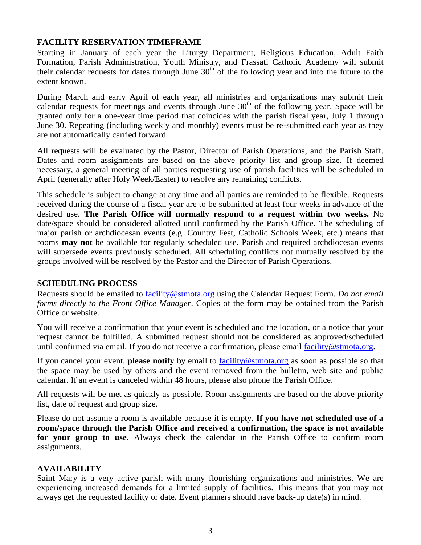#### <span id="page-3-0"></span>**FACILITY RESERVATION TIMEFRAME**

Starting in January of each year the Liturgy Department, Religious Education, Adult Faith Formation, Parish Administration, Youth Ministry, and Frassati Catholic Academy will submit their calendar requests for dates through June  $30<sup>th</sup>$  of the following year and into the future to the extent known.

During March and early April of each year, all ministries and organizations may submit their calendar requests for meetings and events through June 30<sup>th</sup> of the following year. Space will be granted only for a one-year time period that coincides with the parish fiscal year, July 1 through June 30. Repeating (including weekly and monthly) events must be re-submitted each year as they are not automatically carried forward.

All requests will be evaluated by the Pastor, Director of Parish Operations, and the Parish Staff. Dates and room assignments are based on the above priority list and group size. If deemed necessary, a general meeting of all parties requesting use of parish facilities will be scheduled in April (generally after Holy Week/Easter) to resolve any remaining conflicts.

This schedule is subject to change at any time and all parties are reminded to be flexible. Requests received during the course of a fiscal year are to be submitted at least four weeks in advance of the desired use. **The Parish Office will normally respond to a request within two weeks.** No date/space should be considered allotted until confirmed by the Parish Office. The scheduling of major parish or archdiocesan events (e.g. Country Fest, Catholic Schools Week, etc.) means that rooms **may not** be available for regularly scheduled use. Parish and required archdiocesan events will supersede events previously scheduled. All scheduling conflicts not mutually resolved by the groups involved will be resolved by the Pastor and the Director of Parish Operations.

#### <span id="page-3-1"></span>**SCHEDULING PROCESS**

Requests should be emailed to [facility@stmota.org](mailto:facility@standrewcc.org) using the Calendar Request Form. *Do not email forms directly to the Front Office Manager*. Copies of the form may be obtained from the Parish Office or website.

You will receive a confirmation that your event is scheduled and the location, or a notice that your request cannot be fulfilled. A submitted request should not be considered as approved/scheduled until confirmed via email. If you do not receive a confirmation, please email [facility@stmota.org.](mailto:facility@standrewcc.org)

If you cancel your event, **please notify** by email to [facility@stmota.org](mailto:facility@standrewcc.org) as soon as possible so that the space may be used by others and the event removed from the bulletin, web site and public calendar. If an event is canceled within 48 hours, please also phone the Parish Office.

All requests will be met as quickly as possible. Room assignments are based on the above priority list, date of request and group size.

Please do not assume a room is available because it is empty. **If you have not scheduled use of a room/space through the Parish Office and received a confirmation, the space is not available for your group to use.** Always check the calendar in the Parish Office to confirm room assignments.

#### <span id="page-3-2"></span>**AVAILABILITY**

Saint Mary is a very active parish with many flourishing organizations and ministries. We are experiencing increased demands for a limited supply of facilities. This means that you may not always get the requested facility or date. Event planners should have back-up date(s) in mind.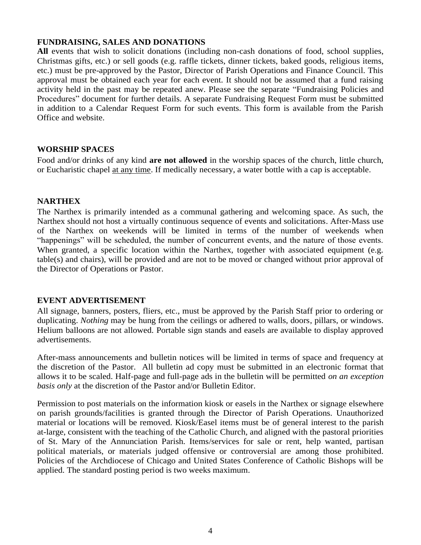#### <span id="page-4-0"></span>**FUNDRAISING, SALES AND DONATIONS**

**All** events that wish to solicit donations (including non-cash donations of food, school supplies, Christmas gifts, etc.) or sell goods (e.g. raffle tickets, dinner tickets, baked goods, religious items, etc.) must be pre-approved by the Pastor, Director of Parish Operations and Finance Council. This approval must be obtained each year for each event. It should not be assumed that a fund raising activity held in the past may be repeated anew. Please see the separate "Fundraising Policies and Procedures" document for further details. A separate Fundraising Request Form must be submitted in addition to a Calendar Request Form for such events. This form is available from the Parish Office and website.

#### <span id="page-4-1"></span>**WORSHIP SPACES**

Food and/or drinks of any kind **are not allowed** in the worship spaces of the church, little church, or Eucharistic chapel at any time. If medically necessary, a water bottle with a cap is acceptable.

#### <span id="page-4-2"></span>**NARTHEX**

The Narthex is primarily intended as a communal gathering and welcoming space. As such, the Narthex should not host a virtually continuous sequence of events and solicitations. After-Mass use of the Narthex on weekends will be limited in terms of the number of weekends when "happenings" will be scheduled, the number of concurrent events, and the nature of those events. When granted, a specific location within the Narthex, together with associated equipment (e.g. table(s) and chairs), will be provided and are not to be moved or changed without prior approval of the Director of Operations or Pastor.

#### <span id="page-4-3"></span>**EVENT ADVERTISEMENT**

All signage, banners, posters, fliers, etc., must be approved by the Parish Staff prior to ordering or duplicating. *Nothing* may be hung from the ceilings or adhered to walls, doors, pillars, or windows. Helium balloons are not allowed. Portable sign stands and easels are available to display approved advertisements.

After-mass announcements and bulletin notices will be limited in terms of space and frequency at the discretion of the Pastor. All bulletin ad copy must be submitted in an electronic format that allows it to be scaled. Half-page and full-page ads in the bulletin will be permitted *on an exception basis only* at the discretion of the Pastor and/or Bulletin Editor.

Permission to post materials on the information kiosk or easels in the Narthex or signage elsewhere on parish grounds/facilities is granted through the Director of Parish Operations. Unauthorized material or locations will be removed. Kiosk/Easel items must be of general interest to the parish at-large, consistent with the teaching of the Catholic Church, and aligned with the pastoral priorities of St. Mary of the Annunciation Parish. Items/services for sale or rent, help wanted, partisan political materials, or materials judged offensive or controversial are among those prohibited. Policies of the Archdiocese of Chicago and United States Conference of Catholic Bishops will be applied. The standard posting period is two weeks maximum.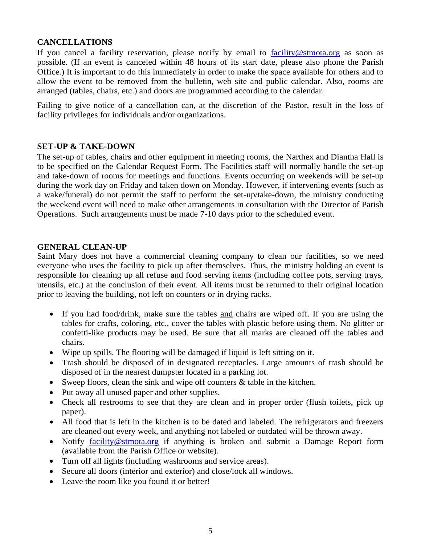#### **CANCELLATIONS**

If you cancel a facility reservation, please notify by email to  $\frac{facility@stmota.org}{facility@stmota.org}$  $\frac{facility@stmota.org}{facility@stmota.org}$  $\frac{facility@stmota.org}{facility@stmota.org}$  as soon as possible. (If an event is canceled within 48 hours of its start date, please also phone the Parish Office.) It is important to do this immediately in order to make the space available for others and to allow the event to be removed from the bulletin, web site and public calendar. Also, rooms are arranged (tables, chairs, etc.) and doors are programmed according to the calendar.

Failing to give notice of a cancellation can, at the discretion of the Pastor, result in the loss of facility privileges for individuals and/or organizations.

#### <span id="page-5-0"></span>**SET-UP & TAKE-DOWN**

The set-up of tables, chairs and other equipment in meeting rooms, the Narthex and Diantha Hall is to be specified on the Calendar Request Form. The Facilities staff will normally handle the set-up and take-down of rooms for meetings and functions. Events occurring on weekends will be set-up during the work day on Friday and taken down on Monday. However, if intervening events (such as a wake/funeral) do not permit the staff to perform the set-up/take-down, the ministry conducting the weekend event will need to make other arrangements in consultation with the Director of Parish Operations. Such arrangements must be made 7-10 days prior to the scheduled event.

#### <span id="page-5-1"></span>**GENERAL CLEAN-UP**

Saint Mary does not have a commercial cleaning company to clean our facilities, so we need everyone who uses the facility to pick up after themselves. Thus, the ministry holding an event is responsible for cleaning up all refuse and food serving items (including coffee pots, serving trays, utensils, etc.) at the conclusion of their event. All items must be returned to their original location prior to leaving the building, not left on counters or in drying racks.

- If you had food/drink, make sure the tables and chairs are wiped off. If you are using the tables for crafts, coloring, etc., cover the tables with plastic before using them. No glitter or confetti-like products may be used. Be sure that all marks are cleaned off the tables and chairs.
- Wipe up spills. The flooring will be damaged if liquid is left sitting on it.
- Trash should be disposed of in designated receptacles. Large amounts of trash should be disposed of in the nearest dumpster located in a parking lot.
- Sweep floors, clean the sink and wipe off counters & table in the kitchen.
- Put away all unused paper and other supplies.
- Check all restrooms to see that they are clean and in proper order (flush toilets, pick up paper).
- All food that is left in the kitchen is to be dated and labeled. The refrigerators and freezers are cleaned out every week, and anything not labeled or outdated will be thrown away.
- Notify [facility@stmota.org](mailto:facility@standrewcc.org) if anything is broken and submit a Damage Report form (available from the Parish Office or website).
- Turn off all lights (including washrooms and service areas).
- Secure all doors (interior and exterior) and close/lock all windows.
- Leave the room like you found it or better!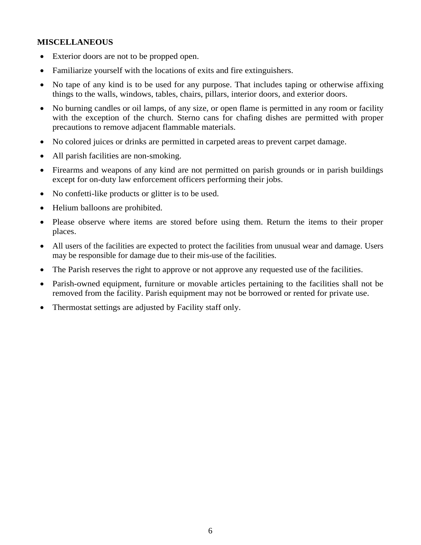#### <span id="page-6-0"></span>**MISCELLANEOUS**

- Exterior doors are not to be propped open.
- Familiarize yourself with the locations of exits and fire extinguishers.
- No tape of any kind is to be used for any purpose. That includes taping or otherwise affixing things to the walls, windows, tables, chairs, pillars, interior doors, and exterior doors.
- No burning candles or oil lamps, of any size, or open flame is permitted in any room or facility with the exception of the church. Sterno cans for chafing dishes are permitted with proper precautions to remove adjacent flammable materials.
- No colored juices or drinks are permitted in carpeted areas to prevent carpet damage.
- All parish facilities are non-smoking.
- Firearms and weapons of any kind are not permitted on parish grounds or in parish buildings except for on-duty law enforcement officers performing their jobs.
- No confetti-like products or glitter is to be used.
- Helium balloons are prohibited.
- Please observe where items are stored before using them. Return the items to their proper places.
- All users of the facilities are expected to protect the facilities from unusual wear and damage. Users may be responsible for damage due to their mis-use of the facilities.
- The Parish reserves the right to approve or not approve any requested use of the facilities.
- Parish-owned equipment, furniture or movable articles pertaining to the facilities shall not be removed from the facility. Parish equipment may not be borrowed or rented for private use.
- Thermostat settings are adjusted by Facility staff only.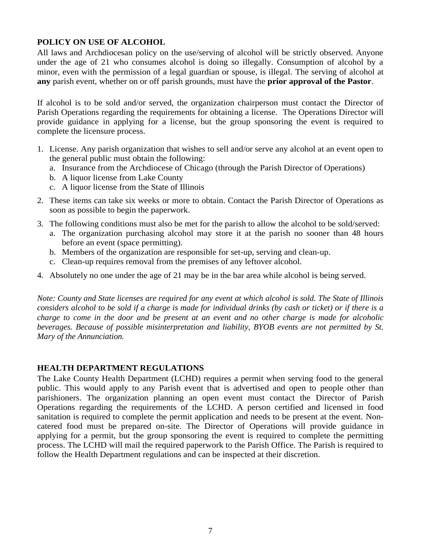#### <span id="page-7-0"></span>**POLICY ON USE OF ALCOHOL**

All laws and Archdiocesan policy on the use/serving of alcohol will be strictly observed. Anyone under the age of 21 who consumes alcohol is doing so illegally. Consumption of alcohol by a minor, even with the permission of a legal guardian or spouse, is illegal. The serving of alcohol at **any** parish event, whether on or off parish grounds, must have the **prior approval of the Pastor**.

If alcohol is to be sold and/or served, the organization chairperson must contact the Director of Parish Operations regarding the requirements for obtaining a license. The Operations Director will provide guidance in applying for a license, but the group sponsoring the event is required to complete the licensure process.

- 1. License. Any parish organization that wishes to sell and/or serve any alcohol at an event open to the general public must obtain the following:
	- a. Insurance from the Archdiocese of Chicago (through the Parish Director of Operations)
	- b. A liquor license from Lake County
	- c. A liquor license from the State of Illinois
- 2. These items can take six weeks or more to obtain. Contact the Parish Director of Operations as soon as possible to begin the paperwork.
- 3. The following conditions must also be met for the parish to allow the alcohol to be sold/served:
	- a. The organization purchasing alcohol may store it at the parish no sooner than 48 hours before an event (space permitting).
	- b. Members of the organization are responsible for set-up, serving and clean-up.
	- c. Clean-up requires removal from the premises of any leftover alcohol.
- 4. Absolutely no one under the age of 21 may be in the bar area while alcohol is being served.

*Note: County and State licenses are required for any event at which alcohol is sold. The State of Illinois considers alcohol to be sold if a charge is made for individual drinks (by cash or ticket) or if there is a charge to come in the door and be present at an event and no other charge is made for alcoholic beverages. Because of possible misinterpretation and liability, BYOB events are not permitted by St. Mary of the Annunciation.*

#### <span id="page-7-1"></span>**HEALTH DEPARTMENT REGULATIONS**

The Lake County Health Department (LCHD) requires a permit when serving food to the general public. This would apply to any Parish event that is advertised and open to people other than parishioners. The organization planning an open event must contact the Director of Parish Operations regarding the requirements of the LCHD. A person certified and licensed in food sanitation is required to complete the permit application and needs to be present at the event. Noncatered food must be prepared on-site. The Director of Operations will provide guidance in applying for a permit, but the group sponsoring the event is required to complete the permitting process. The LCHD will mail the required paperwork to the Parish Office. The Parish is required to follow the Health Department regulations and can be inspected at their discretion.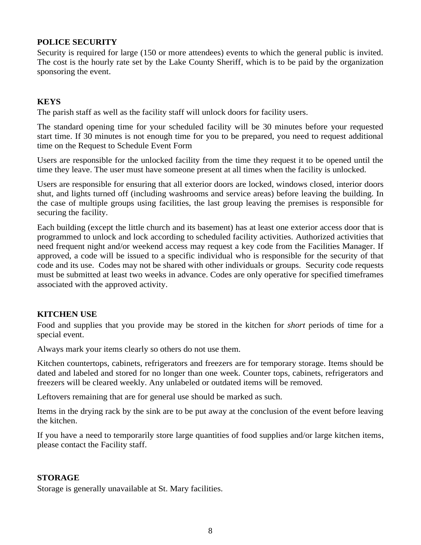#### <span id="page-8-0"></span>**POLICE SECURITY**

Security is required for large (150 or more attendees) events to which the general public is invited. The cost is the hourly rate set by the Lake County Sheriff, which is to be paid by the organization sponsoring the event.

#### <span id="page-8-1"></span>**KEYS**

The parish staff as well as the facility staff will unlock doors for facility users.

The standard opening time for your scheduled facility will be 30 minutes before your requested start time. If 30 minutes is not enough time for you to be prepared, you need to request additional time on the Request to Schedule Event Form

Users are responsible for the unlocked facility from the time they request it to be opened until the time they leave. The user must have someone present at all times when the facility is unlocked.

Users are responsible for ensuring that all exterior doors are locked, windows closed, interior doors shut, and lights turned off (including washrooms and service areas) before leaving the building. In the case of multiple groups using facilities, the last group leaving the premises is responsible for securing the facility.

Each building (except the little church and its basement) has at least one exterior access door that is programmed to unlock and lock according to scheduled facility activities. Authorized activities that need frequent night and/or weekend access may request a key code from the Facilities Manager. If approved, a code will be issued to a specific individual who is responsible for the security of that code and its use. Codes may not be shared with other individuals or groups. Security code requests must be submitted at least two weeks in advance. Codes are only operative for specified timeframes associated with the approved activity.

#### <span id="page-8-2"></span>**KITCHEN USE**

Food and supplies that you provide may be stored in the kitchen for *short* periods of time for a special event.

Always mark your items clearly so others do not use them.

Kitchen countertops, cabinets, refrigerators and freezers are for temporary storage. Items should be dated and labeled and stored for no longer than one week. Counter tops, cabinets, refrigerators and freezers will be cleared weekly. Any unlabeled or outdated items will be removed.

Leftovers remaining that are for general use should be marked as such.

Items in the drying rack by the sink are to be put away at the conclusion of the event before leaving the kitchen.

If you have a need to temporarily store large quantities of food supplies and/or large kitchen items, please contact the Facility staff.

#### <span id="page-8-3"></span>**STORAGE**

Storage is generally unavailable at St. Mary facilities.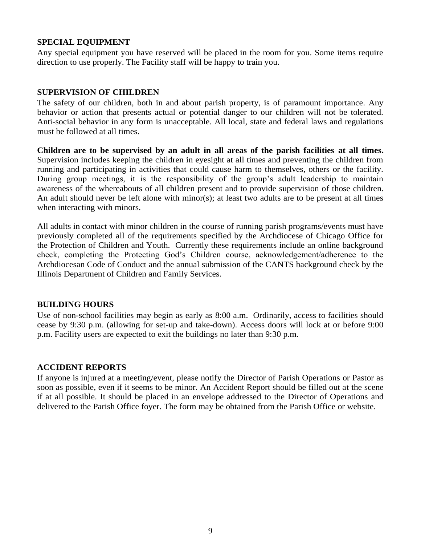#### <span id="page-9-0"></span>**SPECIAL EQUIPMENT**

Any special equipment you have reserved will be placed in the room for you. Some items require direction to use properly. The Facility staff will be happy to train you.

#### <span id="page-9-1"></span>**SUPERVISION OF CHILDREN**

The safety of our children, both in and about parish property, is of paramount importance. Any behavior or action that presents actual or potential danger to our children will not be tolerated. Anti-social behavior in any form is unacceptable. All local, state and federal laws and regulations must be followed at all times.

**Children are to be supervised by an adult in all areas of the parish facilities at all times.** Supervision includes keeping the children in eyesight at all times and preventing the children from running and participating in activities that could cause harm to themselves, others or the facility. During group meetings, it is the responsibility of the group's adult leadership to maintain awareness of the whereabouts of all children present and to provide supervision of those children. An adult should never be left alone with minor(s); at least two adults are to be present at all times when interacting with minors.

All adults in contact with minor children in the course of running parish programs/events must have previously completed all of the requirements specified by the Archdiocese of Chicago Office for the Protection of Children and Youth. Currently these requirements include an online background check, completing the Protecting God's Children course, acknowledgement/adherence to the Archdiocesan Code of Conduct and the annual submission of the CANTS background check by the Illinois Department of Children and Family Services.

#### <span id="page-9-2"></span>**BUILDING HOURS**

Use of non-school facilities may begin as early as 8:00 a.m. Ordinarily, access to facilities should cease by 9:30 p.m. (allowing for set-up and take-down). Access doors will lock at or before 9:00 p.m. Facility users are expected to exit the buildings no later than 9:30 p.m.

#### <span id="page-9-3"></span>**ACCIDENT REPORTS**

<span id="page-9-4"></span>If anyone is injured at a meeting/event, please notify the Director of Parish Operations or Pastor as soon as possible, even if it seems to be minor. An Accident Report should be filled out at the scene if at all possible. It should be placed in an envelope addressed to the Director of Operations and delivered to the Parish Office foyer. The form may be obtained from the Parish Office or website.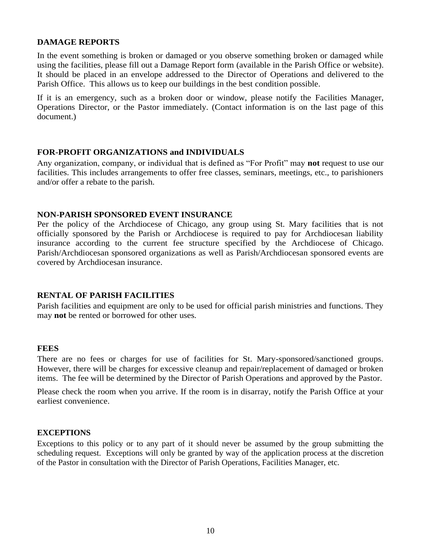#### **DAMAGE REPORTS**

In the event something is broken or damaged or you observe something broken or damaged while using the facilities, please fill out a Damage Report form (available in the Parish Office or website). It should be placed in an envelope addressed to the Director of Operations and delivered to the Parish Office. This allows us to keep our buildings in the best condition possible.

If it is an emergency, such as a broken door or window, please notify the Facilities Manager, Operations Director, or the Pastor immediately. (Contact information is on the last page of this document.)

#### <span id="page-10-0"></span>**FOR-PROFIT ORGANIZATIONS and INDIVIDUALS**

Any organization, company, or individual that is defined as "For Profit" may **not** request to use our facilities. This includes arrangements to offer free classes, seminars, meetings, etc., to parishioners and/or offer a rebate to the parish.

#### <span id="page-10-1"></span>**NON-PARISH SPONSORED EVENT INSURANCE**

Per the policy of the Archdiocese of Chicago, any group using St. Mary facilities that is not officially sponsored by the Parish or Archdiocese is required to pay for Archdiocesan liability insurance according to the current fee structure specified by the Archdiocese of Chicago. Parish/Archdiocesan sponsored organizations as well as Parish/Archdiocesan sponsored events are covered by Archdiocesan insurance.

#### <span id="page-10-2"></span>**RENTAL OF PARISH FACILITIES**

Parish facilities and equipment are only to be used for official parish ministries and functions. They may **not** be rented or borrowed for other uses*.*

#### <span id="page-10-3"></span>**FEES**

There are no fees or charges for use of facilities for St. Mary-sponsored/sanctioned groups. However, there will be charges for excessive cleanup and repair/replacement of damaged or broken items. The fee will be determined by the Director of Parish Operations and approved by the Pastor.

Please check the room when you arrive. If the room is in disarray, notify the Parish Office at your earliest convenience.

#### <span id="page-10-4"></span>**EXCEPTIONS**

Exceptions to this policy or to any part of it should never be assumed by the group submitting the scheduling request. Exceptions will only be granted by way of the application process at the discretion of the Pastor in consultation with the Director of Parish Operations, Facilities Manager, etc.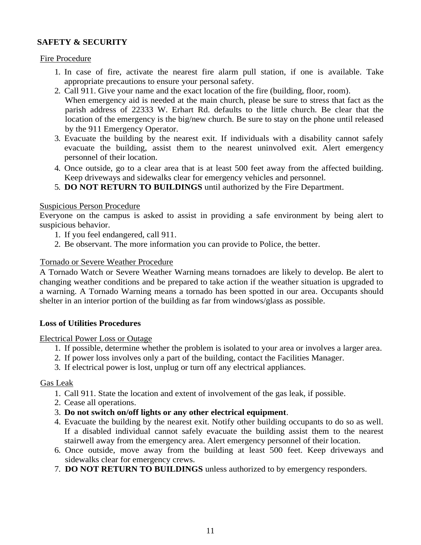#### <span id="page-11-0"></span>**SAFETY & SECURITY**

#### Fire Procedure

- 1. In case of fire, activate the nearest fire alarm pull station, if one is available. Take appropriate precautions to ensure your personal safety.
- 2. Call 911. Give your name and the exact location of the fire (building, floor, room). When emergency aid is needed at the main church, please be sure to stress that fact as the parish address of 22333 W. Erhart Rd. defaults to the little church. Be clear that the location of the emergency is the big/new church. Be sure to stay on the phone until released by the 911 Emergency Operator.
- 3. Evacuate the building by the nearest exit. If individuals with a disability cannot safely evacuate the building, assist them to the nearest uninvolved exit. Alert emergency personnel of their location.
- 4. Once outside, go to a clear area that is at least 500 feet away from the affected building. Keep driveways and sidewalks clear for emergency vehicles and personnel.
- 5. **DO NOT RETURN TO BUILDINGS** until authorized by the Fire Department.

#### Suspicious Person Procedure

Everyone on the campus is asked to assist in providing a safe environment by being alert to suspicious behavior.

- 1. If you feel endangered, call 911.
- 2. Be observant. The more information you can provide to Police, the better.

#### Tornado or Severe Weather Procedure

A Tornado Watch or Severe Weather Warning means tornadoes are likely to develop. Be alert to changing weather conditions and be prepared to take action if the weather situation is upgraded to a warning. A Tornado Warning means a tornado has been spotted in our area. Occupants should shelter in an interior portion of the building as far from windows/glass as possible.

#### **Loss of Utilities Procedures**

Electrical Power Loss or Outage

- 1. If possible, determine whether the problem is isolated to your area or involves a larger area.
- 2. If power loss involves only a part of the building, contact the Facilities Manager.
- 3. If electrical power is lost, unplug or turn off any electrical appliances.

Gas Leak

- 1. Call 911. State the location and extent of involvement of the gas leak, if possible.
- 2. Cease all operations.
- 3. **Do not switch on/off lights or any other electrical equipment**.
- 4. Evacuate the building by the nearest exit. Notify other building occupants to do so as well. If a disabled individual cannot safely evacuate the building assist them to the nearest stairwell away from the emergency area. Alert emergency personnel of their location.
- 6. Once outside, move away from the building at least 500 feet. Keep driveways and sidewalks clear for emergency crews.
- 7. **DO NOT RETURN TO BUILDINGS** unless authorized to by emergency responders.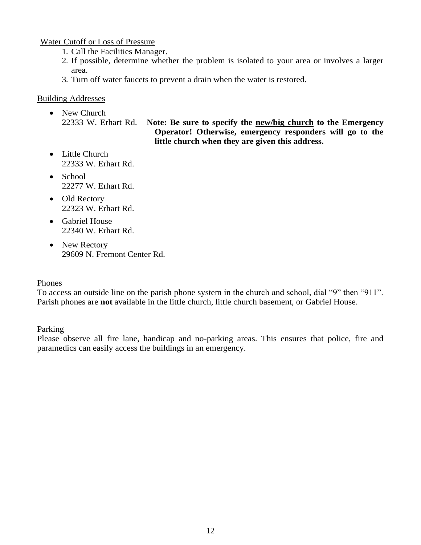Water Cutoff or Loss of Pressure

- 1. Call the Facilities Manager.
- 2. If possible, determine whether the problem is isolated to your area or involves a larger area.
- 3. Turn off water faucets to prevent a drain when the water is restored.

Building Addresses

• New Church 22333 W. Erhart Rd. **Note: Be sure to specify the new/big church to the Emergency Operator! Otherwise, emergency responders will go to the** 

**little church when they are given this address.**

- Little Church 22333 W. Erhart Rd.
- School 22277 W. Erhart Rd.
- Old Rectory 22323 W. Erhart Rd.
- Gabriel House 22340 W. Erhart Rd.
- New Rectory 29609 N. Fremont Center Rd.

#### Phones

To access an outside line on the parish phone system in the church and school, dial "9" then "911". Parish phones are **not** available in the little church, little church basement, or Gabriel House.

Parking

Please observe all fire lane, handicap and no-parking areas. This ensures that police, fire and paramedics can easily access the buildings in an emergency.